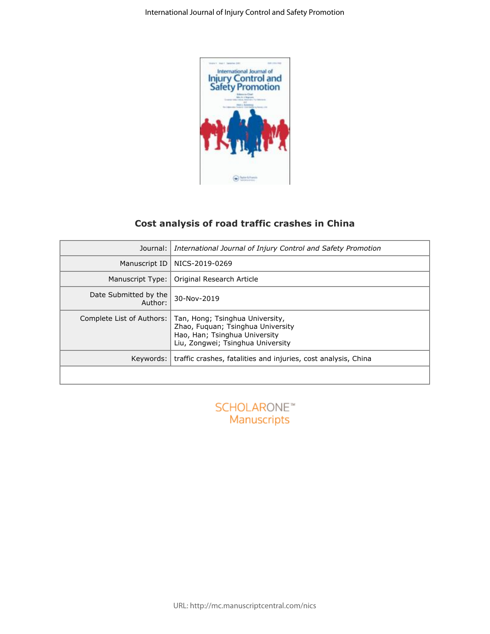

# **Cost analysis of road traffic crashes in China**

|                                  | <b>Sylve &amp; Francis</b>                                                                                                                 |
|----------------------------------|--------------------------------------------------------------------------------------------------------------------------------------------|
|                                  | Cost analysis of road traffic crashes in China                                                                                             |
| Journal:                         | International Journal of Injury Control and Safety Promotion                                                                               |
| Manuscript ID                    | NICS-2019-0269                                                                                                                             |
| Manuscript Type:                 | Original Research Article                                                                                                                  |
| Date Submitted by the<br>Author: | 30-Nov-2019                                                                                                                                |
| Complete List of Authors:        | Tan, Hong; Tsinghua University,<br>Zhao, Fuquan; Tsinghua University<br>Hao, Han; Tsinghua University<br>Liu, Zongwei; Tsinghua University |
| Keywords:                        | traffic crashes, fatalities and injuries, cost analysis, China                                                                             |
|                                  |                                                                                                                                            |
|                                  | <b>SCHOLARONE™</b><br>Manuscripts                                                                                                          |

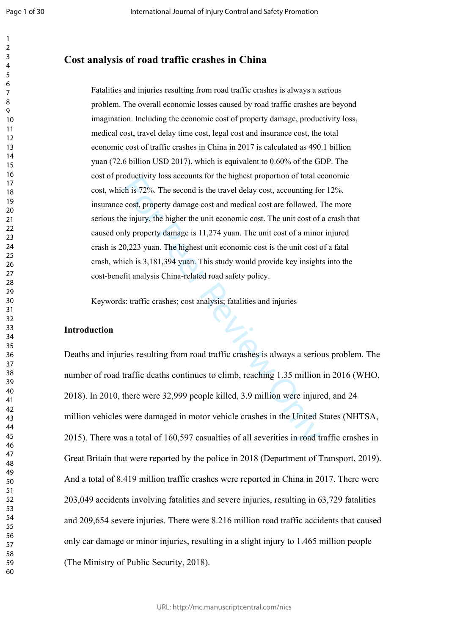Page 1 of 30

 $\mathbf{1}$  $\overline{2}$  $\overline{3}$  $\overline{4}$  $\overline{7}$ 

# **Cost analysis of road traffic crashes in China**

outer of the streament of the may be a transfer of the streament of the strated behis 72%. The second is the travel delay cost, accounting fo cost, property damage cost and medical cost are followed. The unit cost of the m Fatalities and injuries resulting from road traffic crashes is always a serious problem. The overall economic losses caused by road traffic crashes are beyond imagination. Including the economic cost of property damage, productivity loss, medical cost, travel delay time cost, legal cost and insurance cost, the total economic cost of traffic crashes in China in 2017 is calculated as 490.1 billion yuan (72.6 billion USD 2017), which is equivalent to 0.60% of the GDP. The cost of productivity loss accounts for the highest proportion of total economic cost, which is 72%. The second is the travel delay cost, accounting for 12%. insurance cost, property damage cost and medical cost are followed. The more serious the injury, the higher the unit economic cost. The unit cost of a crash that caused only property damage is 11,274 yuan. The unit cost of a minor injured crash is 20,223 yuan. The highest unit economic cost is the unit cost of a fatal crash, which is 3,181,394 yuan. This study would provide key insights into the cost-benefit analysis China-related road safety policy.

Keywords: traffic crashes; cost analysis; fatalities and injuries

#### **Introduction**

Deaths and injuries resulting from road traffic crashes is always a serious problem. The number of road traffic deaths continues to climb, reaching 1.35 million in 2016 (WHO, 2018). In 2010, there were 32,999 people killed, 3.9 million were injured, and 24 million vehicles were damaged in motor vehicle crashes in the United States (NHTSA, 2015). There was a total of 160,597 casualties of all severities in road traffic crashes in Great Britain that were reported by the police in 2018 (Department of Transport, 2019). And a total of 8.419 million traffic crashes were reported in China in 2017. There were 203,049 accidents involving fatalities and severe injuries, resulting in 63,729 fatalities and 209,654 severe injuries. There were 8.216 million road traffic accidents that caused only car damage or minor injuries, resulting in a slight injury to 1.465 million people (The Ministry of Public Security, 2018).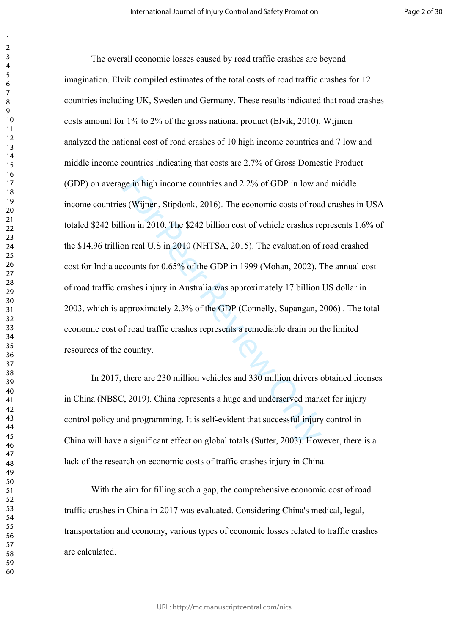ge in high income countries and 2.2% of GDP in low as (Wijnen, Stipdonk, 2016). The economic costs of roadion in 2010. The \$242 billion cost of vehicle crashes represent and U.S in 2010 (NHTSA, 2015). The evaluation of cou The overall economic losses caused by road traffic crashes are beyond imagination. Elvik compiled estimates of the total costs of road traffic crashes for 12 countries including UK, Sweden and Germany. These results indicated that road crashes costs amount for 1% to 2% of the gross national product (Elvik, 2010). Wijinen analyzed the national cost of road crashes of 10 high income countries and 7 low and middle income countries indicating that costs are 2.7% of Gross Domestic Product (GDP) on average in high income countries and 2.2% of GDP in low and middle income countries (Wijnen, Stipdonk, 2016). The economic costs of road crashes in USA totaled \$242 billion in 2010. The \$242 billion cost of vehicle crashes represents 1.6% of the \$14.96 trillion real U.S in 2010 (NHTSA, 2015). The evaluation of road crashed cost for India accounts for 0.65% of the GDP in 1999 (Mohan, 2002). The annual cost of road traffic crashes injury in Australia was approximately 17 billion US dollar in 2003, which is approximately 2.3% of the GDP (Connelly, Supangan, 2006) . The total economic cost of road traffic crashes represents a remediable drain on the limited resources of the country.

In 2017, there are 230 million vehicles and 330 million drivers obtained licenses in China (NBSC, 2019). China represents a huge and underserved market for injury control policy and programming. It is self-evident that successful injury control in China will have a significant effect on global totals (Sutter, 2003). However, there is a lack of the research on economic costs of traffic crashes injury in China.

With the aim for filling such a gap, the comprehensive economic cost of road traffic crashes in China in 2017 was evaluated. Considering China's medical, legal, transportation and economy, various types of economic losses related to traffic crashes are calculated.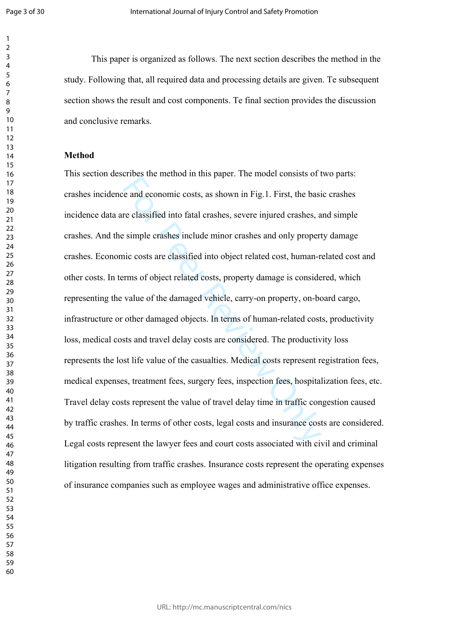$\mathbf{1}$  $\overline{2}$  $\overline{3}$  $\overline{4}$ 

This paper is organized as follows. The next section describes the method in the study. Following that, all required data and processing details are given. Te subsequent section shows the result and cost components. Te final section provides the discussion and conclusive remarks.

#### **Method**

Froce are interior in this paper. The install consists of the and economic costs, as shown in Fig.1. First, the basis<br>re classified into fatal crashes, severe injured crashes, a<br>e simple crashes include minor crashes and o This section describes the method in this paper. The model consists of two parts: crashes incidence and economic costs, as shown in Fig.1. First, the basic crashes incidence data are classified into fatal crashes, severe injured crashes, and simple crashes. And the simple crashes include minor crashes and only property damage crashes. Economic costs are classified into object related cost, human-related cost and other costs. In terms of object related costs, property damage is considered, which representing the value of the damaged vehicle, carry-on property, on-board cargo, infrastructure or other damaged objects. In terms of human-related costs, productivity loss, medical costs and travel delay costs are considered. The productivity loss represents the lost life value of the casualties. Medical costs represent registration fees, medical expenses, treatment fees, surgery fees, inspection fees, hospitalization fees, etc. Travel delay costs represent the value of travel delay time in traffic congestion caused by traffic crashes. In terms of other costs, legal costs and insurance costs are considered. Legal costs represent the lawyer fees and court costs associated with civil and criminal litigation resulting from traffic crashes. Insurance costs represent the operating expenses of insurance companies such as employee wages and administrative office expenses.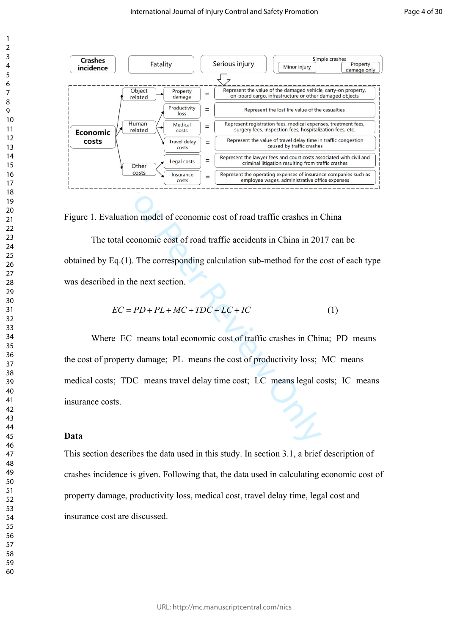

Figure 1. Evaluation model of economic cost of road traffic crashes in China

The total economic cost of road traffic accidents in China in 2017 can be obtained by Eq.(1). The corresponding calculation sub-method for the cost of each type was described in the next section.

$$
EC = PD + PL + MC + TDC + LC + IC \tag{1}
$$

For the content of the content of the content of the content of the content of the conomic cost of road traffic crashes in the next section.<br>
The corresponding calculation sub-method for the conomic cost of road traffic a Where EC means total economic cost of traffic crashes in China; PD means the cost of property damage; PL means the cost of productivity loss; MC means medical costs; TDC means travel delay time cost; LC means legal costs; IC means insurance costs.

## **Data**

This section describes the data used in this study. In section 3.1, a brief description of crashes incidence is given. Following that, the data used in calculating economic cost of property damage, productivity loss, medical cost, travel delay time, legal cost and insurance cost are discussed.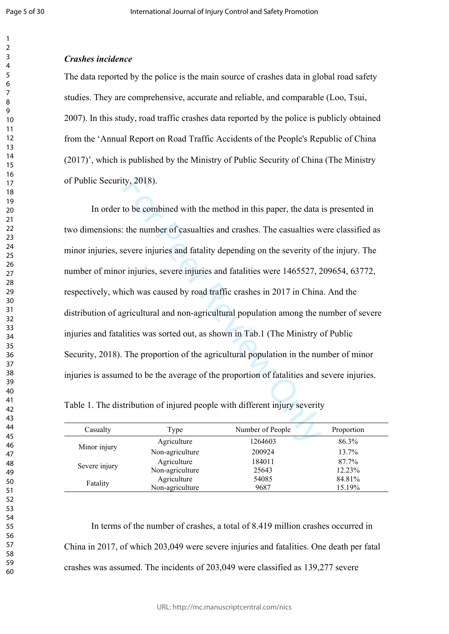#### *Crashes incidence*

The data reported by the police is the main source of crashes data in global road safety studies. They are comprehensive, accurate and reliable, and comparable (Loo, Tsui, 2007). In this study, road traffic crashes data reported by the police is publicly obtained from the 'Annual Report on Road Traffic Accidents of the People's Republic of China (2017)', which is published by the Ministry of Public Security of China (The Ministry of Public Security, 2018).

ty, 2018).<br>
to be combined with the method in this paper, the data<br>
the number of casualties and crashes. The casualties we<br>
evere injuries and fatality depending on the severity of<br>
r injuries, severe injuries and fatali In order to be combined with the method in this paper, the data is presented in two dimensions: the number of casualties and crashes. The casualties were classified as minor injuries, severe injuries and fatality depending on the severity of the injury. The number of minor injuries, severe injuries and fatalities were 1465527, 209654, 63772, respectively, which was caused by road traffic crashes in 2017 in China. And the distribution of agricultural and non-agricultural population among the number of severe injuries and fatalities was sorted out, as shown in Tab.1 (The Ministry of Public Security, 2018). The proportion of the agricultural population in the number of minor injuries is assumed to be the average of the proportion of fatalities and severe injuries.

Table 1. The distribution of injured people with different injury severity

| Casualty      | Type            | Number of People | Proportion |
|---------------|-----------------|------------------|------------|
| Minor injury  | Agriculture     | 1264603          | 86.3%      |
|               | Non-agriculture | 200924           | 13.7%      |
| Severe injury | Agriculture     | 184011           | 87.7%      |
|               | Non-agriculture | 25643            | 12.23%     |
| Fatality      | Agriculture     | 54085            | 84.81%     |
|               | Non-agriculture | 9687             | 15.19%     |

In terms of the number of crashes, a total of 8.419 million crashes occurred in China in 2017, of which 203,049 were severe injuries and fatalities. One death per fatal crashes was assumed. The incidents of 203,049 were classified as 139,277 severe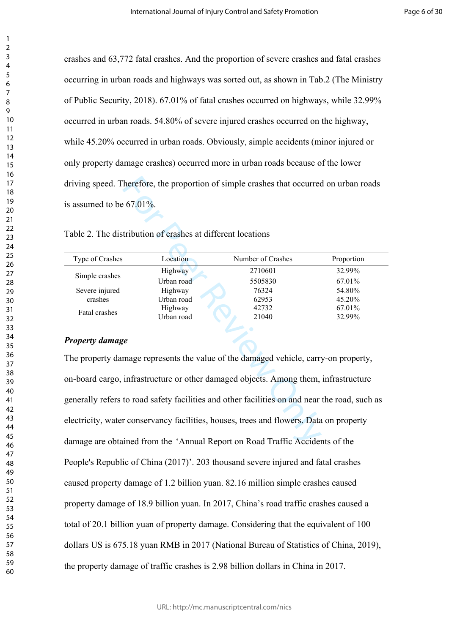crashes and 63,772 fatal crashes. And the proportion of severe crashes and fatal crashes occurring in urban roads and highways was sorted out, as shown in Tab.2 (The Ministry of Public Security, 2018). 67.01% of fatal crashes occurred on highways, while 32.99% occurred in urban roads. 54.80% of severe injured crashes occurred on the highway, while 45.20% occurred in urban roads. Obviously, simple accidents (minor injured or only property damage crashes) occurred more in urban roads because of the lower driving speed. Therefore, the proportion of simple crashes that occurred on urban roads is assumed to be 67.01%.

| Type of Crashes | Location   | Number of Crashes | Proportion |
|-----------------|------------|-------------------|------------|
|                 | Highway    | 2710601           | 32.99%     |
| Simple crashes  | Urban road | 5505830           | 67.01%     |
| Severe injured  | Highway    | 76324             | 54.80%     |
| crashes         | Urban road | 62953             | 45.20%     |
| Fatal crashes   | Highway    | 42732             | 67.01%     |
|                 | Urban road | 21040             | 32.99%     |

Table 2. The distribution of crashes at different locations

# *Property damage*

Therefore, the proportion of simple crashes that occurred interest of 7.01%.<br>
Figure 1.0 Theorem Englanges and different locations<br>
Fighway 2710601<br>
Urban road 5505830<br>
Highway 76324<br>
Urban road 62953<br>
Highway 27132<br>
Urban The property damage represents the value of the damaged vehicle, carry-on property, on-board cargo, infrastructure or other damaged objects. Among them, infrastructure generally refers to road safety facilities and other facilities on and near the road, such as electricity, water conservancy facilities, houses, trees and flowers. Data on property damage are obtained from the 'Annual Report on Road Traffic Accidents of the People's Republic of China (2017)'. 203 thousand severe injured and fatal crashes caused property damage of 1.2 billion yuan. 82.16 million simple crashes caused property damage of 18.9 billion yuan. In 2017, China's road traffic crashes caused a total of 20.1 billion yuan of property damage. Considering that the equivalent of 100 dollars US is 675.18 yuan RMB in 2017 (National Bureau of Statistics of China, 2019), the property damage of traffic crashes is 2.98 billion dollars in China in 2017.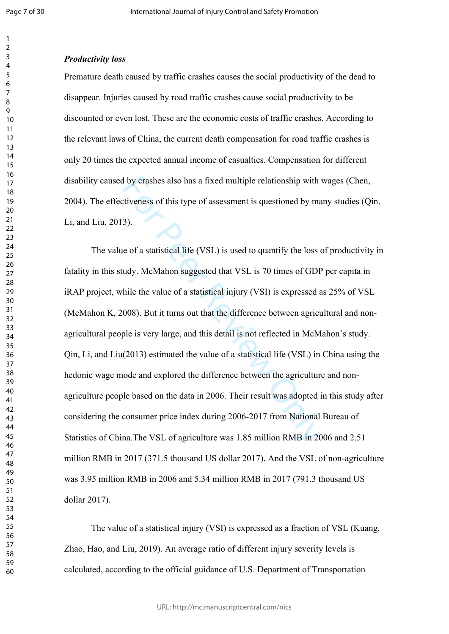$\mathbf{1}$  $\overline{2}$  $\overline{3}$  $\overline{4}$  $\overline{7}$  $\mathsf{Q}$ 

#### *Productivity loss*

Premature death caused by traffic crashes causes the social productivity of the dead to disappear. Injuries caused by road traffic crashes cause social productivity to be discounted or even lost. These are the economic costs of traffic crashes. According to the relevant laws of China, the current death compensation for road traffic crashes is only 20 times the expected annual income of casualties. Compensation for different disability caused by crashes also has a fixed multiple relationship with wages (Chen, 2004). The effectiveness of this type of assessment is questioned by many studies (Qin, Li, and Liu, 2013).

I by crashes also has a fixed multiple relationship with<br>tiveness of this type of assessment is questioned by ma<br>3).<br>3).<br>e of a statistical life (VSL) is used to quantify the loss of<br>duy. McMahon suggested that VSL is 70 t The value of a statistical life (VSL) is used to quantify the loss of productivity in fatality in this study. McMahon suggested that VSL is 70 times of GDP per capita in iRAP project, while the value of a statistical injury (VSI) is expressed as 25% of VSL (McMahon K, 2008). But it turns out that the difference between agricultural and nonagricultural people is very large, and this detail is not reflected in McMahon's study.  $\chi$  Cin, Li, and Liu(2013) estimated the value of a statistical life (VSL) in China using the hedonic wage mode and explored the difference between the agriculture and nonagriculture people based on the data in 2006. Their result was adopted in this study after considering the consumer price index during 2006-2017 from National Bureau of Statistics of China.The VSL of agriculture was 1.85 million RMB in 2006 and 2.51 million RMB in 2017 (371.5 thousand US dollar 2017). And the VSL of non-agriculture was 3.95 million RMB in 2006 and 5.34 million RMB in 2017 (791.3 thousand US dollar 2017).

The value of a statistical injury (VSI) is expressed as a fraction of VSL (Kuang, Zhao, Hao, and Liu, 2019). An average ratio of different injury severity levels is calculated, according to the official guidance of U.S. Department of Transportation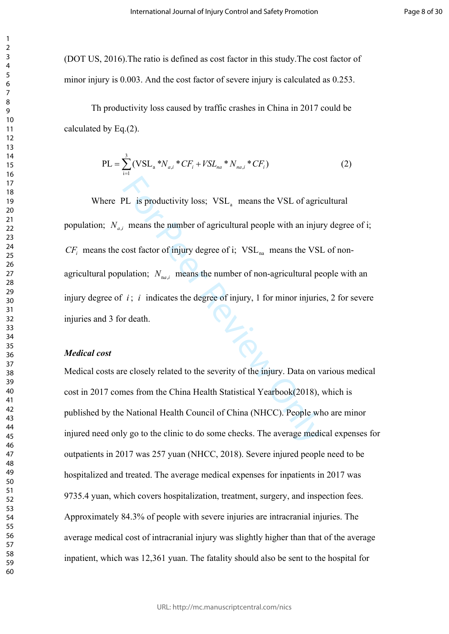(DOT US, 2016).The ratio is defined as cost factor in this study.The cost factor of minor injury is 0.003. And the cost factor of severe injury is calculated as 0.253.

Th productivity loss caused by traffic crashes in China in 2017 could be calculated by Eq.(2).

$$
PL = \sum_{i=1}^{3} (VSL_{a} * N_{a,i} * CF_{i} + VSL_{na} * N_{na,i} * CF_{i})
$$
 (2)

PL is productivity loss;  $VSL_a$  means the VSL of agric means the number of agricultural people with an injure cost factor of injury degree of i;  $VSL_{na}$  means the VSI ulation;  $N_{na,i}$  means the number of non-agricultural p Where PL is productivity loss;  $VSL<sub>a</sub>$  means the VSL of agricultural population;  $N_{a,i}$  means the number of agricultural people with an injury degree of i;  $CF_i$  means the cost factor of injury degree of i;  $VSL_{na}$  means the VSL of nonagricultural population;  $N_{na,i}$  means the number of non-agricultural people with an injury degree of  $i$ ;  $i$  indicates the degree of injury, 1 for minor injuries, 2 for severe injuries and 3 for death.

#### *Medical cost*

Medical costs are closely related to the severity of the injury. Data on various medical cost in 2017 comes from the China Health Statistical Yearbook(2018), which is published by the National Health Council of China (NHCC). People who are minor injured need only go to the clinic to do some checks. The average medical expenses for outpatients in 2017 was 257 yuan (NHCC, 2018). Severe injured people need to be hospitalized and treated. The average medical expenses for inpatients in 2017 was 9735.4 yuan, which covers hospitalization, treatment, surgery, and inspection fees. Approximately 84.3% of people with severe injuries are intracranial injuries. The average medical cost of intracranial injury was slightly higher than that of the average inpatient, which was 12,361 yuan. The fatality should also be sent to the hospital for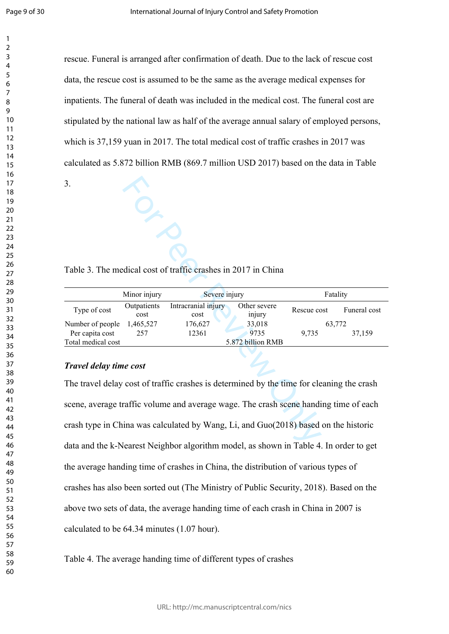$\mathbf{1}$  $\overline{2}$  $\overline{3}$  $\overline{4}$ 

rescue. Funeral is arranged after confirmation of death. Due to the lack of rescue cost data, the rescue cost is assumed to be the same as the average medical expenses for inpatients. The funeral of death was included in the medical cost. The funeral cost are stipulated by the national law as half of the average annual salary of employed persons, which is 37,159 yuan in 2017. The total medical cost of traffic crashes in 2017 was calculated as 5.872 billion RMB (869.7 million USD 2017) based on the data in Table

3.

Table 3. The medical cost of traffic crashes in 2017 in China

|                    | Minor injury        | Severe injury               |                        | Fatality    |              |
|--------------------|---------------------|-----------------------------|------------------------|-------------|--------------|
| Type of cost       | Outpatients<br>cost | Intracranial injury<br>cost | Other severe<br>injury | Rescue cost | Funeral cost |
| Number of people   | 1,465,527           | 176,627                     | 33,018                 | 63,772      |              |
| Per capita cost    | 257                 | 12361                       | 9735                   | 9.735       | 37,159       |
| Total medical cost |                     |                             | 5.872 billion RMB      |             |              |

# *Travel delay time cost*

Example 1 and Solvetian Scheme and Scheme Research<br>
For Peer Review Only and Scheme Control of the Scheme Cost<br>
257 176,627 176,627 133,018<br>
257 12361 9735 9,735<br>
26.827 12361 9735 9,735<br>
26.872 billion RMB<br>
26.872 billion The travel delay cost of traffic crashes is determined by the time for cleaning the crash scene, average traffic volume and average wage. The crash scene handing time of each crash type in China was calculated by Wang, Li, and Guo(2018) based on the historic data and the k-Nearest Neighbor algorithm model, as shown in Table 4. In order to get the average handing time of crashes in China, the distribution of various types of crashes has also been sorted out (The Ministry of Public Security, 2018). Based on the above two sets of data, the average handing time of each crash in China in 2007 is calculated to be 64.34 minutes (1.07 hour).

Table 4. The average handing time of different types of crashes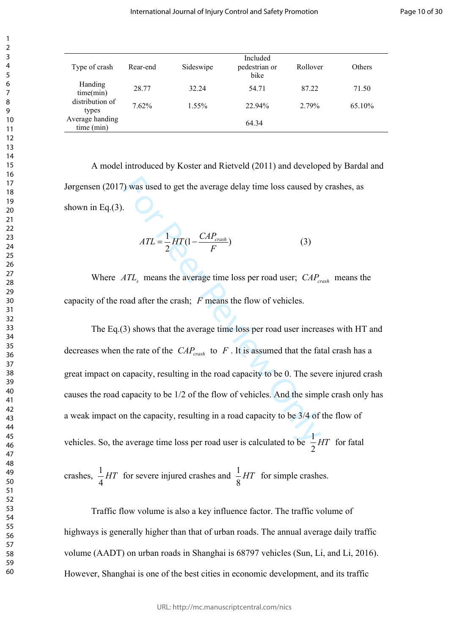| Type of crash                 | Rear-end | Sideswipe | Included<br>pedestrian or<br>bike | Rollover | <b>Others</b> |
|-------------------------------|----------|-----------|-----------------------------------|----------|---------------|
| Handing<br>time(min)          | 28.77    | 32.24     | 54.71                             | 87.22    | 71.50         |
| distribution of<br>types      | 7.62%    | $1.55\%$  | 22.94%                            | 2.79%    | $65.10\%$     |
| Average handing<br>time (min) |          |           | 64.34                             |          |               |

A model introduced by Koster and Rietveld (2011) and developed by Bardal and Jørgensen (2017) was used to get the average delay time loss caused by crashes, as shown in Eq. $(3)$ .

$$
ATL = \frac{1}{2} HT(1 - \frac{CAP_{crash}}{F})
$$
\n(3)

Where  $ATL<sub>s</sub>$  means the average time loss per road user;  $CAP<sub>crash</sub>$  means the capacity of the road after the crash:  $F$  means the flow of vehicles.

For Price and the average delay time loss caused by<br>
For Price and the average delay time loss caused by<br>
ATL<sub>s</sub> means the average time loss per road user;  $CAP_c$ <br>
coad after the crash; F means the flow of vehicles.<br>
3) sh The Eq.(3) shows that the average time loss per road user increases with HT and decreases when the rate of the  $CAP<sub>crash</sub>$  to  $F$ . It is assumed that the fatal crash has a great impact on capacity, resulting in the road capacity to be 0. The severe injured crash causes the road capacity to be 1/2 of the flow of vehicles. And the simple crash only has a weak impact on the capacity, resulting in a road capacity to be 3/4 of the flow of vehicles. So, the average time loss per road user is calculated to be  $\frac{1}{2}HT$  for fatal

crashes,  $\frac{1}{4}HT$  for severe injured crashes and  $\frac{1}{8}HT$  for simple crashes.

Traffic flow volume is also a key influence factor. The traffic volume of highways is generally higher than that of urban roads. The annual average daily traffic volume (AADT) on urban roads in Shanghai is 68797 vehicles (Sun, Li, and Li, 2016). However, Shanghai is one of the best cities in economic development, and its traffic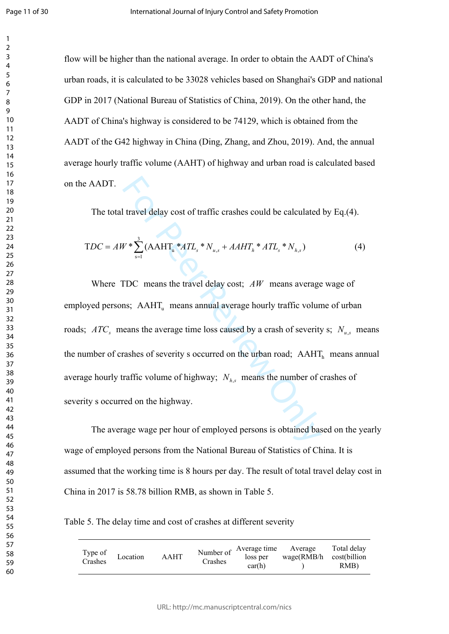$\mathbf{1}$ 

flow will be higher than the national average. In order to obtain the AADT of China's urban roads, it is calculated to be 33028 vehicles based on Shanghai's GDP and national GDP in 2017 (National Bureau of Statistics of China, 2019). On the other hand, the AADT of China's highway is considered to be 74129, which is obtained from the AADT of the G42 highway in China (Ding, Zhang, and Zhou, 2019). And, the annual average hourly traffic volume (AAHT) of highway and urban road is calculated based on the AADT.

The total travel delay cost of traffic crashes could be calculated by Eq.(4).

$$
TDC = AW^* \sum_{s=1}^{3} (AAHT_u^*ATL_s^*N_{u,s} + AAHT_h^*ATL_s^*N_{h,s})
$$
\n(4)

I travel delay cost of traffic crashes could be calculated<br>  $W^* \sum_{s=1}^3 (AAHT_a * ATL_s * N_{u,s} + AAHT_h * ATL_s * N_{h,s})$ <br>
FDC means the travel delay cost;  $AW$  means average<br>
ns;  $AAHT_u$  means annual average hourly traffic volune<br>
neans the a Where TDC means the travel delay cost;  $AW$  means average wage of employed persons; AAHT<sub>u</sub> means annual average hourly traffic volume of urban roads;  $ATC<sub>s</sub>$  means the average time loss caused by a crash of severity s;  $N<sub>u,s</sub>$  means the number of crashes of severity s occurred on the urban road;  $AAHT<sub>h</sub>$  means annual average hourly traffic volume of highway;  $N_{h,s}$  means the number of crashes of severity s occurred on the highway.

The average wage per hour of employed persons is obtained based on the yearly wage of employed persons from the National Bureau of Statistics of China. It is assumed that the working time is 8 hours per day. The result of total travel delay cost in China in 2017 is 58.78 billion RMB, as shown in Table 5.

Table 5. The delay time and cost of crashes at different severity

| Type of<br>Crashes | Location | <b>AAHT</b> | Crashes | Number of $\overrightarrow{$ Average time<br>loss per<br>car(h) | Average<br>$wage(RMB/h \cost(billion$ | Total delay<br>RMB) |
|--------------------|----------|-------------|---------|-----------------------------------------------------------------|---------------------------------------|---------------------|
|--------------------|----------|-------------|---------|-----------------------------------------------------------------|---------------------------------------|---------------------|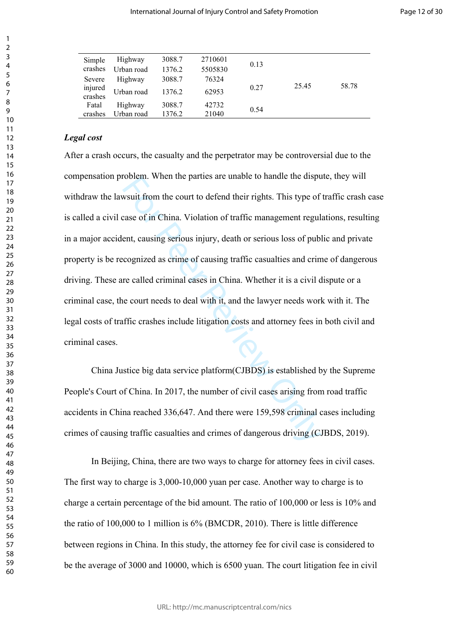| Simple             | Highway    | 3088.7 | 2710601 | 0.13 |       |       |
|--------------------|------------|--------|---------|------|-------|-------|
| crashes            | Urban road | 1376.2 | 5505830 |      |       |       |
| Severe             | Highway    | 3088.7 | 76324   |      |       |       |
| injured<br>crashes | Urban road | 1376.2 | 62953   | 0.27 | 25.45 | 58.78 |
| Fatal              | Highway    | 3088.7 | 42732   | 0.54 |       |       |
| crashes            | Urban road | 1376.2 | 21040   |      |       |       |

# *Legal cost*

From the parties are unable to nantie the displayer<br>we are of in China. Violation of traffic management regulent, causing serious injury, death or serious loss of pub<br>cognized as crime of causing traffic casualties and cri After a crash occurs, the casualty and the perpetrator may be controversial due to the compensation problem. When the parties are unable to handle the dispute, they will withdraw the lawsuit from the court to defend their rights. This type of traffic crash case is called a civil case of in China. Violation of traffic management regulations, resulting in a major accident, causing serious injury, death or serious loss of public and private property is be recognized as crime of causing traffic casualties and crime of dangerous driving. These are called criminal cases in China. Whether it is a civil dispute or a criminal case, the court needs to deal with it, and the lawyer needs work with it. The legal costs of traffic crashes include litigation costs and attorney fees in both civil and criminal cases.

China Justice big data service platform(CJBDS) is established by the Supreme People's Court of China. In 2017, the number of civil cases arising from road traffic accidents in China reached 336,647. And there were 159,598 criminal cases including crimes of causing traffic casualties and crimes of dangerous driving (CJBDS, 2019).

In Beijing, China, there are two ways to charge for attorney fees in civil cases. The first way to charge is 3,000-10,000 yuan per case. Another way to charge is to charge a certain percentage of the bid amount. The ratio of 100,000 or less is 10% and the ratio of 100,000 to 1 million is 6% (BMCDR, 2010). There is little difference between regions in China. In this study, the attorney fee for civil case is considered to be the average of 3000 and 10000, which is 6500 yuan. The court litigation fee in civil

 $\mathbf{1}$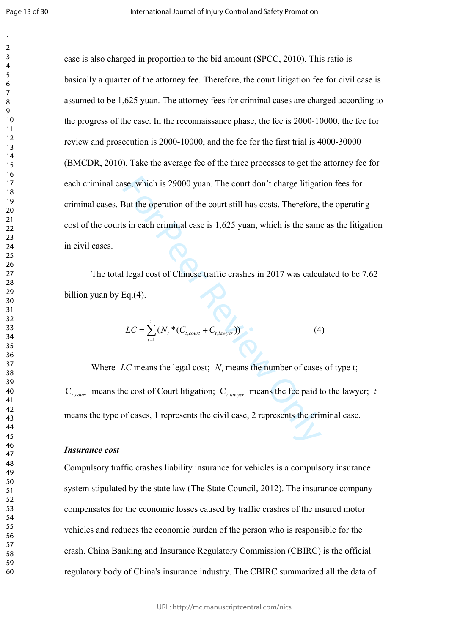$\mathbf{1}$ 

se, which is 29000 yuan. The court don't charge litigat<br>
But the operation of the court still has costs. Therefore,<br>
s in each criminal case is 1,625 yuan, which is the same<br>
I legal cost of Chinese traffic crashes in 201 case is also charged in proportion to the bid amount (SPCC, 2010). This ratio is basically a quarter of the attorney fee. Therefore, the court litigation fee for civil case is assumed to be 1,625 yuan. The attorney fees for criminal cases are charged according to the progress of the case. In the reconnaissance phase, the fee is 2000-10000, the fee for review and prosecution is 2000-10000, and the fee for the first trial is 4000-30000 (BMCDR, 2010). Take the average fee of the three processes to get the attorney fee for each criminal case, which is 29000 yuan. The court don't charge litigation fees for criminal cases. But the operation of the court still has costs. Therefore, the operating cost of the courts in each criminal case is 1,625 yuan, which is the same as the litigation in civil cases.

The total legal cost of Chinese traffic crashes in 2017 was calculated to be 7.62 billion yuan by Eq.(4).

$$
LC = \sum_{t=1}^{2} (N_t * (C_{t, court} + C_{t, lawyer}))
$$
 (4)

Where LC means the legal cost;  $N$ , means the number of cases of type t;  $C_{t, court}$  means the cost of Court litigation;  $C_{t, lower}$  means the fee paid to the lawyer; t means the type of cases, 1 represents the civil case, 2 represents the criminal case.

#### *Insurance cost*

Compulsory traffic crashes liability insurance for vehicles is a compulsory insurance system stipulated by the state law (The State Council, 2012). The insurance company compensates for the economic losses caused by traffic crashes of the insured motor vehicles and reduces the economic burden of the person who is responsible for the crash. China Banking and Insurance Regulatory Commission (CBIRC) is the official regulatory body of China's insurance industry. The CBIRC summarized all the data of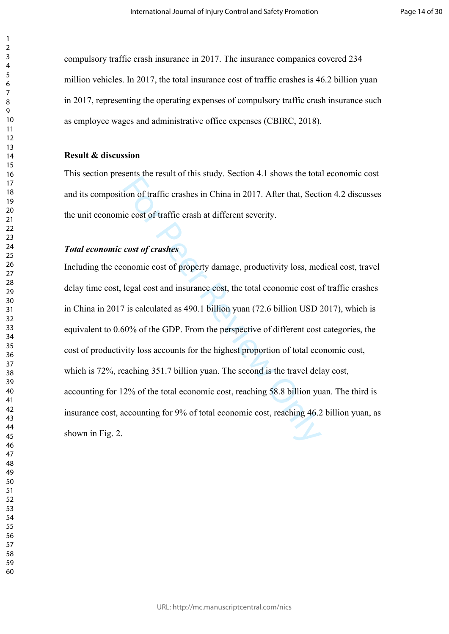compulsory traffic crash insurance in 2017. The insurance companies covered 234 million vehicles. In 2017, the total insurance cost of traffic crashes is 46.2 billion yuan in 2017, representing the operating expenses of compulsory traffic crash insurance such as employee wages and administrative office expenses (CBIRC, 2018).

#### **Result & discussion**

This section presents the result of this study. Section 4.1 shows the total economic cost and its composition of traffic crashes in China in 2017. After that, Section 4.2 discusses the unit economic cost of traffic crash at different severity.

## *Total economic cost of crashes*

Example 1 and state). Better 1: and the test are local of traffic crashes in China in 2017. After that, Section of traffic crash at different severity.<br> **cost of crashes**<br>
cost of crashes<br>
cost of crashes<br>
cost of crashes<br> Including the economic cost of property damage, productivity loss, medical cost, travel delay time cost, legal cost and insurance cost, the total economic cost of traffic crashes in China in 2017 is calculated as 490.1 billion yuan (72.6 billion USD 2017), which is equivalent to 0.60% of the GDP. From the perspective of different cost categories, the cost of productivity loss accounts for the highest proportion of total economic cost, which is 72%, reaching 351.7 billion yuan. The second is the travel delay cost, accounting for 12% of the total economic cost, reaching 58.8 billion yuan. The third is insurance cost, accounting for 9% of total economic cost, reaching 46.2 billion yuan, as shown in Fig. 2.

 $\mathbf{1}$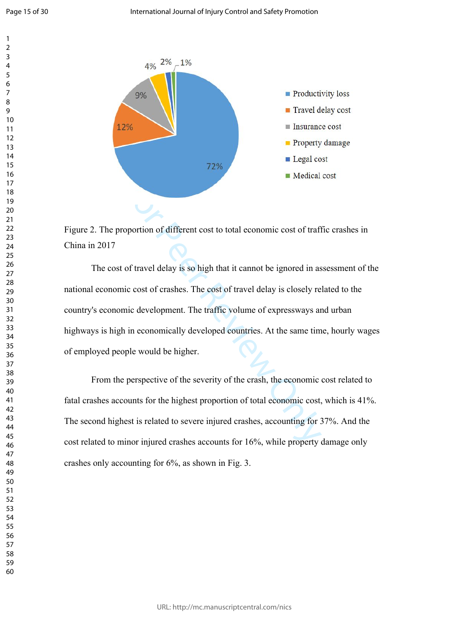$\overline{4}$  $\overline{7}$ 

 $\mathbf{1}$  $\overline{2}$ 



Figure 2. The proportion of different cost to total economic cost of traffic crashes in China in 2017

**Example 12** Interact control of different cost to total economic cost of trafiend of travel delay is so high that it cannot be ignored in as incost of crashes. The cost of travel delay is closely remic development. The tr The cost of travel delay is so high that it cannot be ignored in assessment of the national economic cost of crashes. The cost of travel delay is closely related to the country's economic development. The traffic volume of expressways and urban highways is high in economically developed countries. At the same time, hourly wages of employed people would be higher.

From the perspective of the severity of the crash, the economic cost related to fatal crashes accounts for the highest proportion of total economic cost, which is 41%. The second highest is related to severe injured crashes, accounting for 37%. And the cost related to minor injured crashes accounts for 16%, while property damage only crashes only accounting for 6%, as shown in Fig. 3.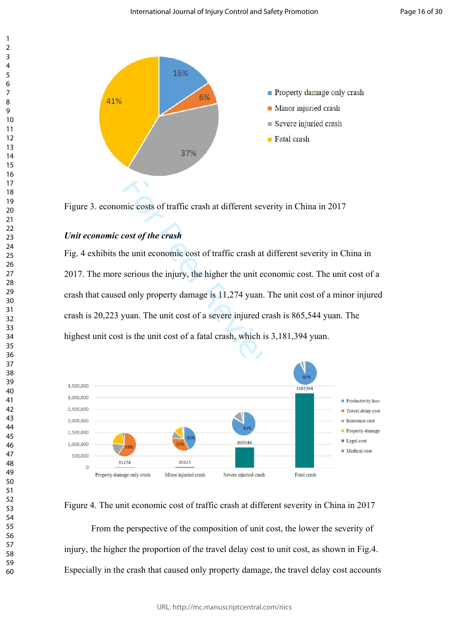

Figure 3. economic costs of traffic crash at different severity in China in 2017

# *Unit economic cost of the crash*

Fig. 4 exhibits the unit economic cost of traffic crash at different severity in China in 2017. The more serious the injury, the higher the unit economic cost. The unit cost of a crash that caused only property damage is 11,274 yuan. The unit cost of a minor injured crash is 20,223 yuan. The unit cost of a severe injured crash is 865,544 yuan. The highest unit cost is the unit cost of a fatal crash, which is 3,181,394 yuan.



# Figure 4. The unit economic cost of traffic crash at different severity in China in 2017

From the perspective of the composition of unit cost, the lower the severity of injury, the higher the proportion of the travel delay cost to unit cost, as shown in Fig.4. Especially in the crash that caused only property damage, the travel delay cost accounts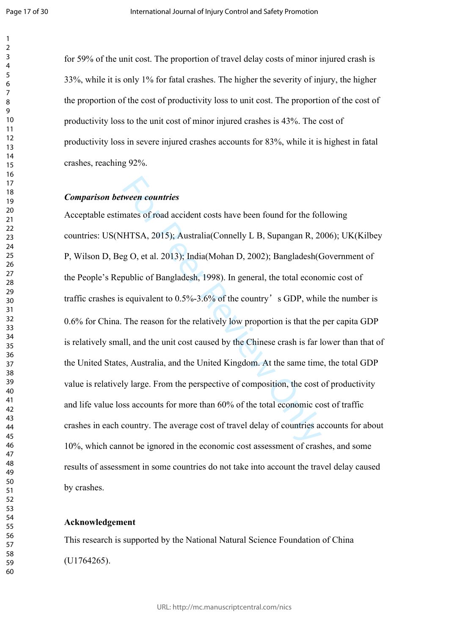$\mathbf{1}$  $\overline{2}$ 

for 59% of the unit cost. The proportion of travel delay costs of minor injured crash is 33%, while it is only 1% for fatal crashes. The higher the severity of injury, the higher the proportion of the cost of productivity loss to unit cost. The proportion of the cost of productivity loss to the unit cost of minor injured crashes is 43%. The cost of productivity loss in severe injured crashes accounts for 83%, while it is highest in fatal crashes, reaching 92%.

#### *Comparison between countries*

**Example 2018**<br>**Example 2018** and accident costs have been found for the fol<br>
HTSA, 2015); Australia(Connelly L B, Supangan R, 20<br>
g O, et al. 2013); India(Mohan D, 2002); Bangladesh(C<br>
public of Bangladesh, 1998). In gene Acceptable estimates of road accident costs have been found for the following countries: US(NHTSA, 2015); Australia(Connelly L B, Supangan R, 2006); UK(Kilbey P, Wilson D, Beg O, et al. 2013); India(Mohan D, 2002); Bangladesh(Government of the People's Republic of Bangladesh, 1998). In general, the total economic cost of traffic crashes is equivalent to  $0.5\%$ -3.6% of the country's GDP, while the number is 0.6% for China. The reason for the relatively low proportion is that the per capita GDP is relatively small, and the unit cost caused by the Chinese crash is far lower than that of the United States, Australia, and the United Kingdom. At the same time, the total GDP value is relatively large. From the perspective of composition, the cost of productivity and life value loss accounts for more than 60% of the total economic cost of traffic crashes in each country. The average cost of travel delay of countries accounts for about 10%, which cannot be ignored in the economic cost assessment of crashes, and some results of assessment in some countries do not take into account the travel delay caused by crashes.

#### **Acknowledgement**

This research is supported by the National Natural Science Foundation of China (U1764265).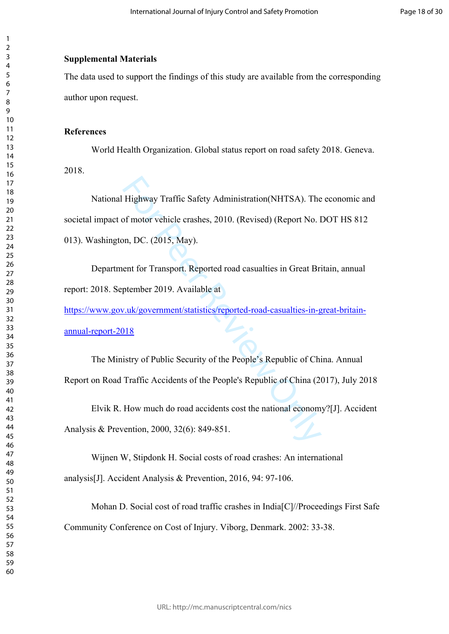# **Supplemental Materials**

The data used to support the findings of this study are available from the corresponding author upon request.

# **References**

World Health Organization. Global status report on road safety 2018. Geneva. 2018.

Highway Traffic Safety Administration(NHTSA). The<br>of motor vehicle crashes, 2010. (Revised) (Report No. 1<br>on, DC. (2015, May).<br>ent for Transport. Reported road casualties in Great Br<br>ptember 2019. Available at<br>v.uk/governm National Highway Traffic Safety Administration(NHTSA). The economic and societal impact of motor vehicle crashes, 2010. (Revised) (Report No. DOT HS 812 013). Washington, DC. (2015, May).

Department for Transport. Reported road casualties in Great Britain, annual report: 2018. September 2019. Available at

[https://www.gov.uk/government/statistics/reported-road-casualties-in-great-britain](https://www.gov.uk/government/statistics/reported-road-casualties-in-great-britain-annual-report-2018)[annual-report-2018](https://www.gov.uk/government/statistics/reported-road-casualties-in-great-britain-annual-report-2018)

The Ministry of Public Security of the People's Republic of China. Annual Report on Road Traffic Accidents of the People's Republic of China (2017), July 2018

Elvik R. How much do road accidents cost the national economy?[J]. Accident Analysis & Prevention, 2000, 32(6): 849-851.

Wijnen W, Stipdonk H. Social costs of road crashes: An international analysis[J]. Accident Analysis & Prevention, 2016, 94: 97-106.

Mohan D. Social cost of road traffic crashes in India[C]//Proceedings First Safe Community Conference on Cost of Injury. Viborg, Denmark. 2002: 33-38.

 $\mathbf{1}$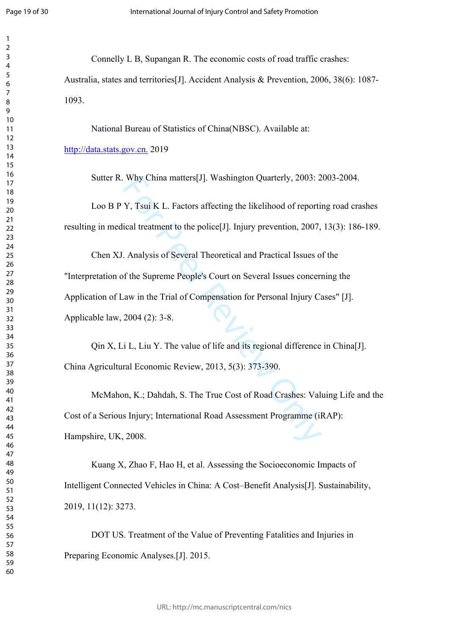$\mathbf{1}$  $\overline{2}$  $\overline{3}$  $\overline{4}$  $\overline{7}$ 

Connelly L B, Supangan R. The economic costs of road traffic crashes:

Australia, states and territories[J]. Accident Analysis & Prevention, 2006, 38(6): 1087- 1093.

National Bureau of Statistics of China(NBSC). Available at:

<http://data.stats.gov.cn.> 2019

Sutter R. Why China matters[J]. Washington Quarterly, 2003: 2003-2004.

Loo B P Y, Tsui K L. Factors affecting the likelihood of reporting road crashes resulting in medical treatment to the police[J]. Injury prevention, 2007, 13(3): 186-189.

Why China matters[J]. Washington Quarterly, 2003: 2<br>
Y, Tsui K L. Factors affecting the likelihood of reporti<br>
ical treatment to the police[J]. Injury prevention, 2007,<br>
. Analysis of Several Theoretical and Practical Issu Chen XJ. Analysis of Several Theoretical and Practical Issues of the "Interpretation of the Supreme People's Court on Several Issues concerning the Application of Law in the Trial of Compensation for Personal Injury Cases" [J]. Applicable law, 2004 (2): 3-8.

Qin X, Li L, Liu Y. The value of life and its regional difference in China[J]. China Agricultural Economic Review, 2013, 5(3): 373-390.

McMahon, K.; Dahdah, S. The True Cost of Road Crashes: Valuing Life and the Cost of a Serious Injury; International Road Assessment Programme (iRAP): Hampshire, UK, 2008.

Kuang X, Zhao F, Hao H, et al. Assessing the Socioeconomic Impacts of Intelligent Connected Vehicles in China: A Cost–Benefit Analysis[J]. Sustainability, 2019, 11(12): 3273.

DOT US. Treatment of the Value of Preventing Fatalities and Injuries in Preparing Economic Analyses.[J]. 2015.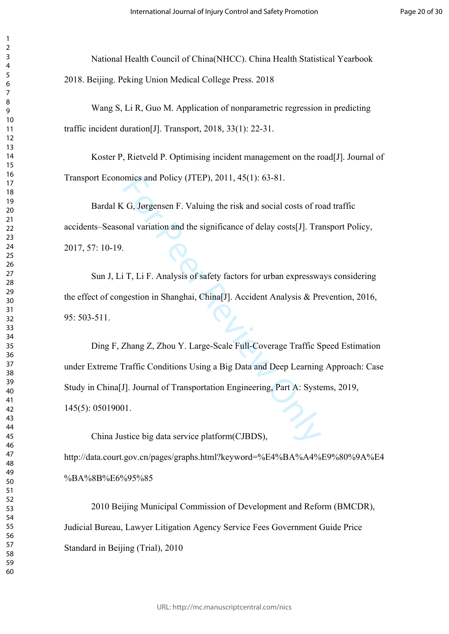National Health Council of China(NHCC). China Health Statistical Yearbook 2018. Beijing. Peking Union Medical College Press. 2018

Wang S, Li R, Guo M. Application of nonparametric regression in predicting traffic incident duration[J]. Transport, 2018, 33(1): 22-31.

Koster P, Rietveld P. Optimising incident management on the road[J]. Journal of Transport Economics and Policy (JTEP), 2011, 45(1): 63-81.

Bardal K G, Jørgensen F. Valuing the risk and social costs of road traffic accidents–Seasonal variation and the significance of delay costs[J]. Transport Policy, 2017, 57: 10-19.

Sun J, Li T, Li F. Analysis of safety factors for urban expressways considering the effect of congestion in Shanghai, China[J]. Accident Analysis & Prevention, 2016, 95: 503-511.

mics and Policy (JTEP), 2011, 45(1): 63-81.<br>
G, Jørgensen F. Valuing the risk and social costs of ro<br>
mal variation and the significance of delay costs[J]. Tra<br>
For Peer Review Only and the significance of delay costs<br>
For Ding F, Zhang Z, Zhou Y. Large-Scale Full-Coverage Traffic Speed Estimation under Extreme Traffic Conditions Using a Big Data and Deep Learning Approach: Case Study in China[J]. Journal of Transportation Engineering, Part A: Systems, 2019, 145(5): 05019001.

China Justice big data service platform(CJBDS), http://data.court.gov.cn/pages/graphs.html?keyword=%E4%BA%A4%E9%80%9A%E4 %BA%8B%E6%95%85

2010 Beijing Municipal Commission of Development and Reform (BMCDR), Judicial Bureau, Lawyer Litigation Agency Service Fees Government Guide Price Standard in Beijing (Trial), 2010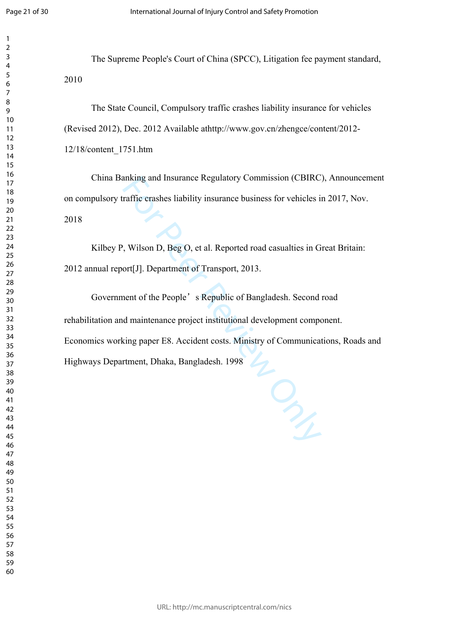$\mathbf{1}$  $\overline{2}$  $\overline{3}$  $\overline{4}$  $\overline{7}$ 

The Supreme People's Court of China (SPCC), Litigation fee payment standard, 

The State Council, Compulsory traffic crashes liability insurance for vehicles (Revised 2012), Dec. 2012 Available athttp://www.gov.cn/zhengce/content/2012- 12/18/content\_1751.htm

China Banking and Insurance Regulatory Commission (CBIRC), Announcement on compulsory traffic crashes liability insurance business for vehicles in 2017, Nov. 

Kilbey P, Wilson D, Beg O, et al. Reported road casualties in Great Britain: 2012 annual report[J]. Department of Transport, 2013.

anking and Insurance Regulatory Commission (CBIRC)<br>raffic crashes liability insurance business for vehicles i<br>is conflict to the Reported road casualties in G<br>ort[J]. Department of Transport, 2013.<br>and of the People's Repu Government of the People's Republic of Bangladesh. Second road rehabilitation and maintenance project institutional development component. Economics working paper E8. Accident costs. Ministry of Communications, Roads and Highways Department, Dhaka, Bangladesh. 1998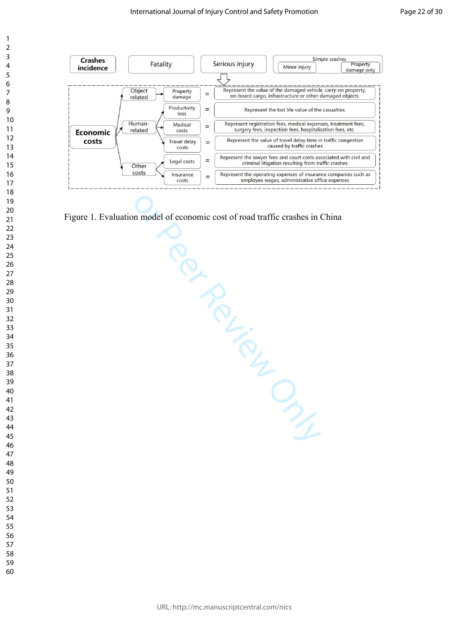

 $\overline{7}$ 

 $\overline{4}$ 

 $\mathbf{1}$  $\overline{2}$  $\overline{3}$ 

Figure 1. Evaluation model of economic cost of road traffic crashes in China

 $\frac{f_{\text{insquared}}}{\text{cost}} = \frac{f_{\text{kop}}}{\text{expansioned region}}$ <br>  $\frac{f_{\text{cost}}}{\text{costed region}} = \frac{f_{\text{kop}}}{\text{expansioned region}}$ <br>  $\frac{f_{\text{kop}}}{\text{costed region}} = \frac{f_{\text{kop}}}{\text{costed region}}$ <br>  $\frac{f_{\text{kop}}}{\text{costed region}} = \frac{f_{\text{kop}}}{\text{costed region}}$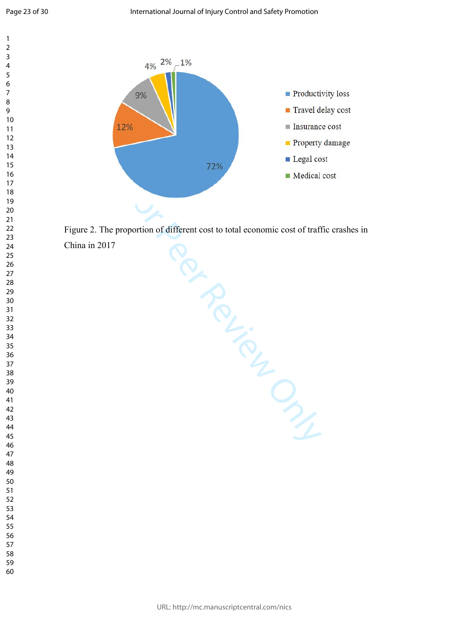$\overline{9}$ 

 $\overline{4}$  $\overline{7}$ 

 $\mathbf{1}$  $\overline{2}$  $\overline{3}$ 



Figure 2. The proportion of different cost to total economic cost of traffic crashes in

China in 2017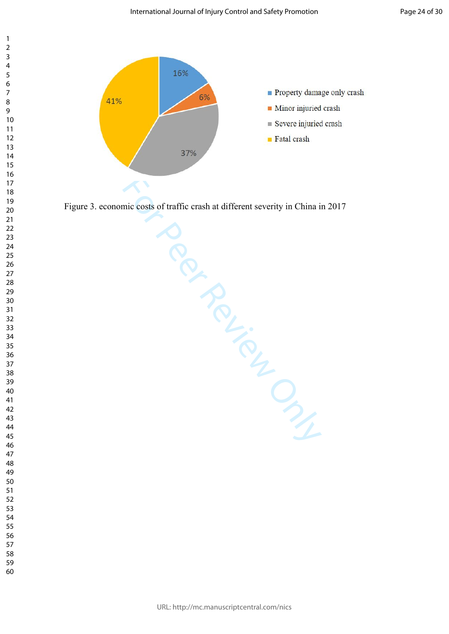



Figure 3. economic costs of traffic crash at different severity in China in 2017

CONSOR ONLY CONNOY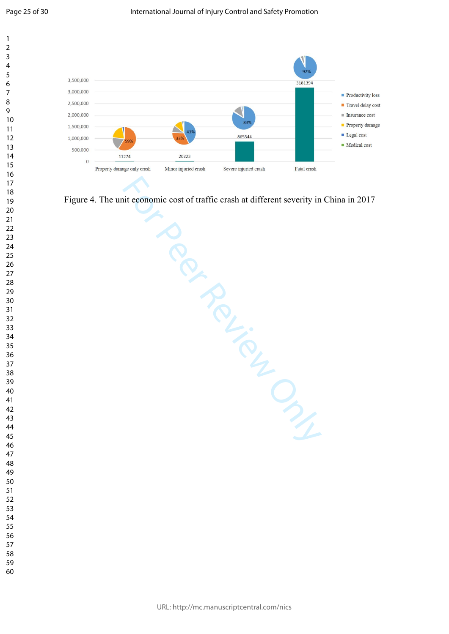

Figure 4. The unit economic cost of traffic crash at different severity in China in 2017

sie cost of trafi.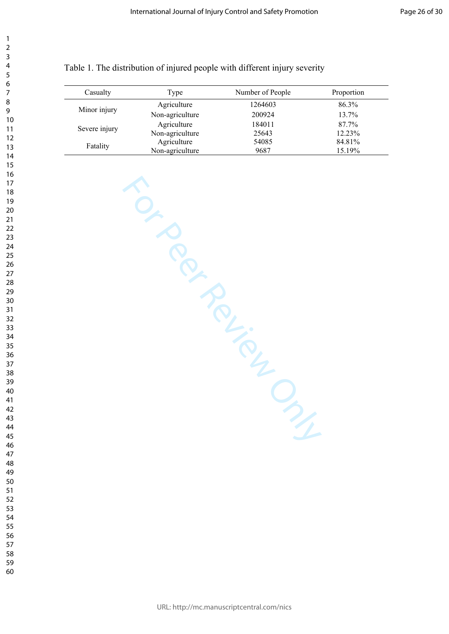| Casualty      | Type            | Number of People | Proportion |
|---------------|-----------------|------------------|------------|
| Minor injury  | Agriculture     | 1264603          | 86.3%      |
|               | Non-agriculture | 200924           | 13.7%      |
| Severe injury | Agriculture     | 184011           | 87.7%      |
|               | Non-agriculture | 25643            | 12.23%     |
| Fatality      | Agriculture     | 54085            | 84.81%     |
|               | Non-agriculture | 9687             | 15.19%     |

From Per Review Only

# Table 1. The distribution of injured people with different injury severity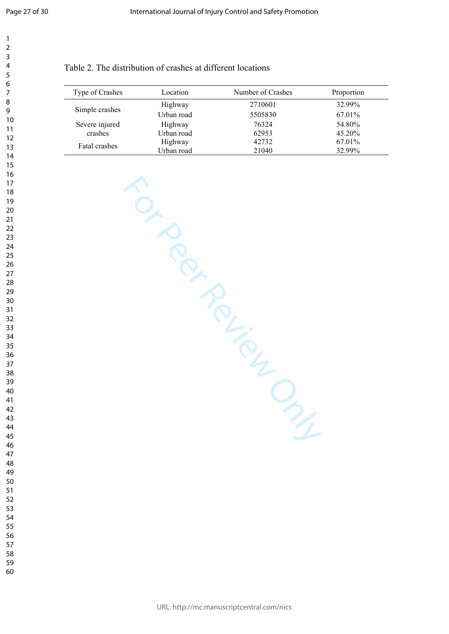|                 | Location   | Number of Crashes |            |
|-----------------|------------|-------------------|------------|
| Type of Crashes |            |                   | Proportion |
| Simple crashes  | Highway    | 2710601           | 32.99%     |
|                 | Urban road | 5505830           | 67.01%     |
| Severe injured  | Highway    | 76324             | 54.80%     |
| crashes         | Urban road | 62953             | 45.20%     |
| Fatal crashes   | Highway    | 42732             | 67.01%     |
|                 | Urban road | 21040             | 32.99%     |

TO ROAD PROVISOR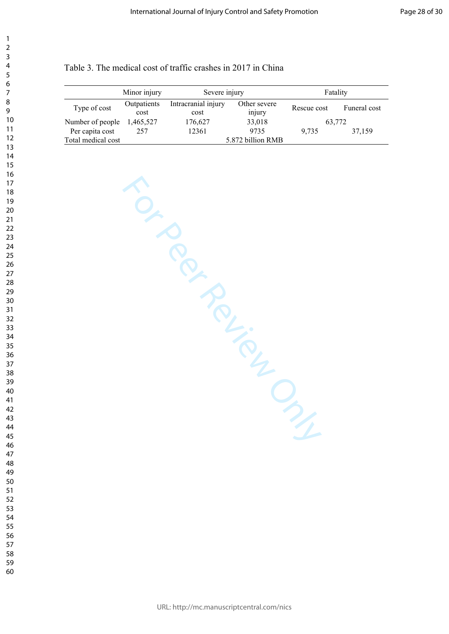| Table 3. The medical cost of traffic crashes in 2017 in China |  |  |  |  |
|---------------------------------------------------------------|--|--|--|--|
|---------------------------------------------------------------|--|--|--|--|

|                    | Minor injury        | Severe injury               |                        |             | Fatality     |
|--------------------|---------------------|-----------------------------|------------------------|-------------|--------------|
| Type of cost       | Outpatients<br>cost | Intracranial injury<br>cost | Other severe<br>injury | Rescue cost | Funeral cost |
| Number of people   | 1,465,527           | 176,627                     | 33,018                 | 63,772      |              |
| Per capita cost    | 257                 | 12361                       | 9735                   | 9.735       | 37.159       |
| Total medical cost |                     |                             | 5.872 billion RMB      |             |              |

For Per Review Only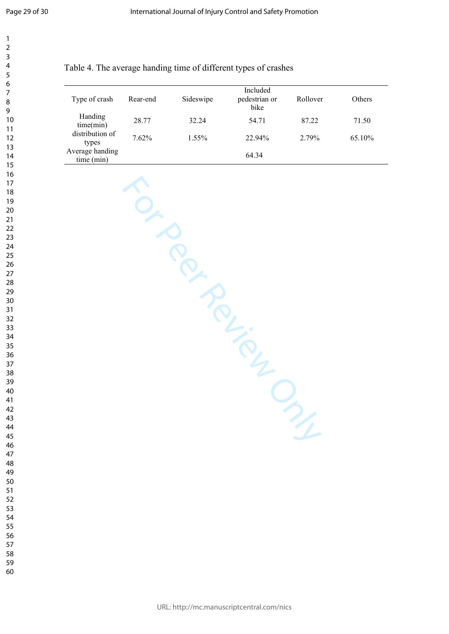$\overline{7}$  $\overline{9}$ 

 $\mathbf{1}$  $\overline{2}$  $\overline{3}$  $\overline{4}$ 

# Table 4. The average handing time of different types of crashes

| Type of crash                 | Rear-end | Sideswipe | Included<br>pedestrian or<br>bike | Rollover | <b>Others</b> |
|-------------------------------|----------|-----------|-----------------------------------|----------|---------------|
| Handing<br>time(min)          | 28.77    | 32.24     | 54.71                             | 87.22    | 71.50         |
| distribution of<br>types      | 7.62%    | $1.55\%$  | 22.94%                            | 2.79%    | 65.10%        |
| Average handing<br>time (min) |          |           | 64.34                             |          |               |

| $\mathcal{D}_{\mathcal{L}}$ |
|-----------------------------|
|                             |
|                             |

- 
-